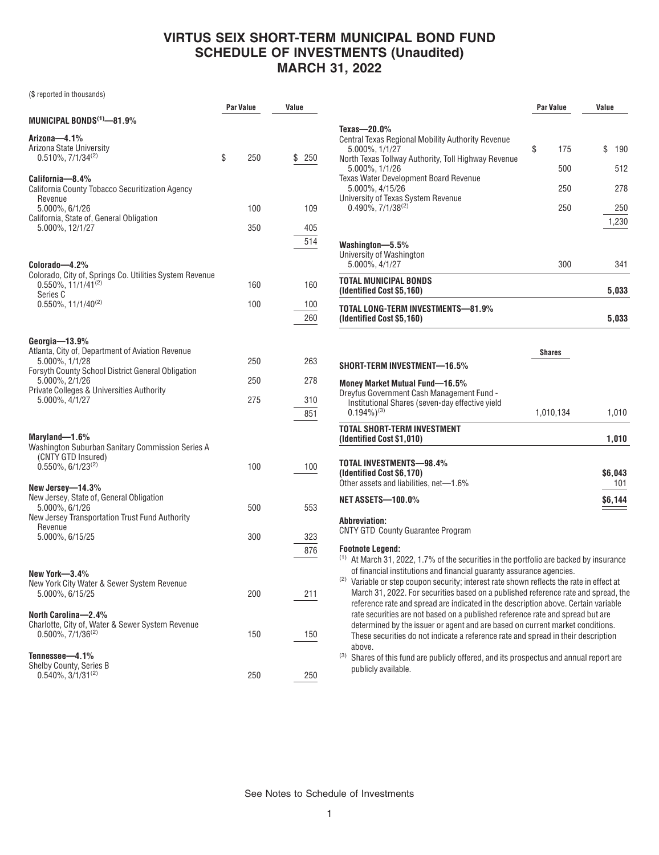### **VIRTUS SEIX SHORT-TERM MUNICIPAL BOND FUND SCHEDULE OF INVESTMENTS (Unaudited) MARCH 31, 2022**

(\$ reported in thousands)

|                                                                                                                                                              | Par Value | Value      |
|--------------------------------------------------------------------------------------------------------------------------------------------------------------|-----------|------------|
| MUNICIPAL BONDS $^{(1)}$ -81.9%                                                                                                                              |           |            |
| Arizona-4.1%<br>Arizona State University<br>$0.510\%$ , $7/1/34^{(2)}$                                                                                       | \$<br>250 | \$<br>250  |
| California—8.4%<br>California County Tobacco Securitization Agency<br>Revenue                                                                                |           |            |
| 5.000%, 6/1/26<br>California, State of, General Obligation                                                                                                   | 100       | 109        |
| 5.000%, 12/1/27                                                                                                                                              | 350       | 405<br>514 |
| Colorado—4.2%<br>Colorado, City of, Springs Co. Utilities System Revenue<br>0.550%, 11/1/41 <sup>(2)</sup><br>Series C<br>$0.550\%$ , 11/1/40 <sup>(2)</sup> | 160       | 160        |
|                                                                                                                                                              | 100       | 100<br>260 |
| Georgia—13.9%<br>Atlanta, City of, Department of Aviation Revenue<br>5.000%, 1/1/28<br>Forsyth County School District General Obligation                     | 250       | 263        |
| 5.000%, 2/1/26<br>Private Colleges & Universities Authority                                                                                                  | 250       | 278        |
| 5.000%, 4/1/27                                                                                                                                               | 275       | 310<br>851 |
| Maryland-1.6%<br>Washington Suburban Sanitary Commission Series A<br>(CNTY GTD Insured)<br>$0.550\%$ , 6/1/23 <sup>(2)</sup>                                 | 100       | 100        |
| New Jersey—14.3%<br>New Jersey, State of, General Obligation<br>5.000%, 6/1/26                                                                               | 500       | 553        |
| New Jersey Transportation Trust Fund Authority                                                                                                               |           |            |
| Revenue<br>5.000%, 6/15/25                                                                                                                                   | 300       | 323<br>876 |
| New York—3.4%<br>New York City Water & Sewer System Revenue<br>5.000%, 6/15/25                                                                               | 200       | 211        |
| North Carolina-2.4%<br>Charlotte, City of, Water & Sewer System Revenue<br>$0.500\%$ , $7/1/36^{(2)}$                                                        | 150       | 150        |
| Tennessee-4.1%<br>Shelby County, Series B<br>$0.540\%$ , 3/1/31 <sup>(2)</sup>                                                                               | 250       | 250        |

|                                                                                                                                                                                                                                                                                                       | <b>Par Value</b>               | Value                                   |  |
|-------------------------------------------------------------------------------------------------------------------------------------------------------------------------------------------------------------------------------------------------------------------------------------------------------|--------------------------------|-----------------------------------------|--|
| Texas- $-20.0\%$<br><b>Central Texas Regional Mobility Authority Revenue</b><br>5.000%, 1/1/27<br>North Texas Tollway Authority, Toll Highway Revenue<br>5.000%, 1/1/26<br>Texas Water Development Board Revenue<br>5.000%, 4/15/26<br>University of Texas System Revenue<br>$0.490\%, 7/1/38^{(2)}$  | \$<br>175<br>500<br>250<br>250 | \$<br>190<br>512<br>278<br>250<br>1,230 |  |
| Washington-5.5%<br>University of Washington<br>5.000%, 4/1/27                                                                                                                                                                                                                                         | 300                            | 341                                     |  |
| TOTAL MUNICIPAL BONDS<br>(Identified Cost \$5,160)                                                                                                                                                                                                                                                    |                                | 5,033                                   |  |
| TOTAL LONG-TERM INVESTMENTS—81.9%<br>(Identified Cost \$5,160)                                                                                                                                                                                                                                        |                                | 5,033                                   |  |
| SHORT-TERM INVESTMENT—16.5%                                                                                                                                                                                                                                                                           | <b>Shares</b>                  |                                         |  |
| <b>Money Market Mutual Fund-16.5%</b><br>Dreyfus Government Cash Management Fund -<br>Institutional Shares (seven-day effective yield<br>$0.194\%$ <sup>(3)</sup>                                                                                                                                     | 1,010,134                      | 1,010                                   |  |
| TOTAL SHORT-TERM INVESTMENT<br>(Identified Cost \$1,010)                                                                                                                                                                                                                                              |                                | 1,010                                   |  |
| TOTAL INVESTMENTS-98.4%<br>(Identified Cost \$6,170)<br>Other assets and liabilities, net-1.6%<br><b>NET ASSETS-100.0%</b>                                                                                                                                                                            |                                | \$6.043<br>101<br>\$6,144               |  |
| <b>Abbreviation:</b>                                                                                                                                                                                                                                                                                  |                                |                                         |  |
| <b>CNTY GTD County Guarantee Program</b>                                                                                                                                                                                                                                                              |                                |                                         |  |
| <b>Footnote Legend:</b><br><sup>(1)</sup> At March 31, 2022, 1.7% of the securities in the portfolio are backed by insurance<br>of financial institutions and financial guaranty assurance agencies.<br>$^{(2)}$ Variable or step coupon security; interest rate shown reflects the rate in effect at |                                |                                         |  |

Variable or step coupon security; interest rate shown reflects the rate in effect at March 31, 2022. For securities based on a published reference rate and spread, the reference rate and spread are indicated in the description above. Certain variable rate securities are not based on a published reference rate and spread but are determined by the issuer or agent and are based on current market conditions. These securities do not indicate a reference rate and spread in their description above.

(3) Shares of this fund are publicly offered, and its prospectus and annual report are publicly available.

See Notes to Schedule of Investments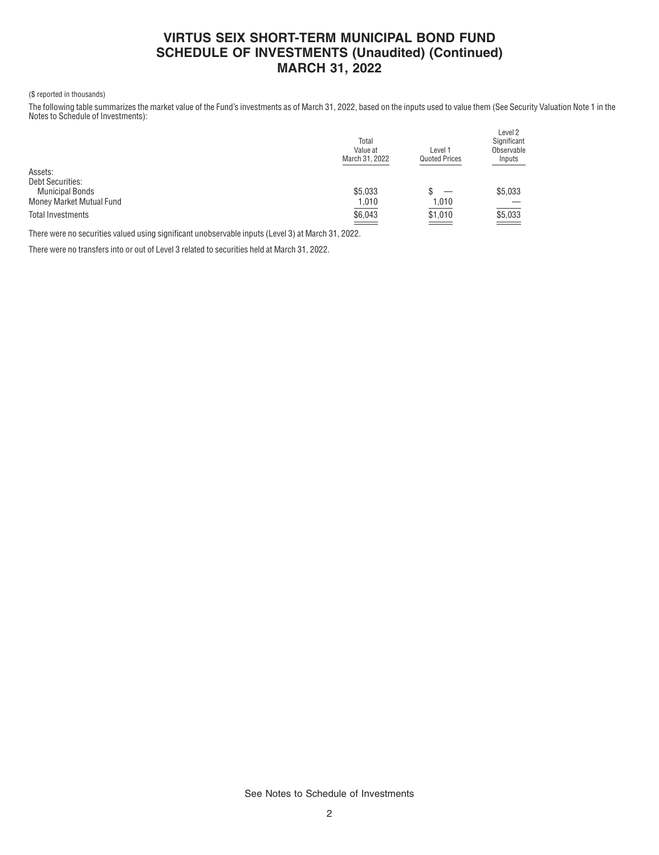# **VIRTUS SEIX SHORT-TERM MUNICIPAL BOND FUND SCHEDULE OF INVESTMENTS (Unaudited) (Continued) MARCH 31, 2022**

#### (\$ reported in thousands)

The following table summarizes the market value of the Fund's investments as of March 31, 2022, based on the inputs used to value them (See Security Valuation Note 1 in the Notes to Schedule of Investments):

|                          | Total<br>Value at<br>March 31, 2022 | Level 1<br><b>Quoted Prices</b> | Level <sub>2</sub><br>Significant<br>Observable<br>Inputs |
|--------------------------|-------------------------------------|---------------------------------|-----------------------------------------------------------|
| Assets:                  |                                     |                                 |                                                           |
| <b>Debt Securities:</b>  |                                     |                                 |                                                           |
| <b>Municipal Bonds</b>   | \$5.033                             |                                 | \$5,033                                                   |
| Money Market Mutual Fund | 1,010                               | 1,010                           |                                                           |
| Total Investments        | $\underbrace{$6,043}$               | \$1,010                         | $\underbrace{$5,033}$                                     |

There were no securities valued using significant unobservable inputs (Level 3) at March 31, 2022.

There were no transfers into or out of Level 3 related to securities held at March 31, 2022.

See Notes to Schedule of Investments